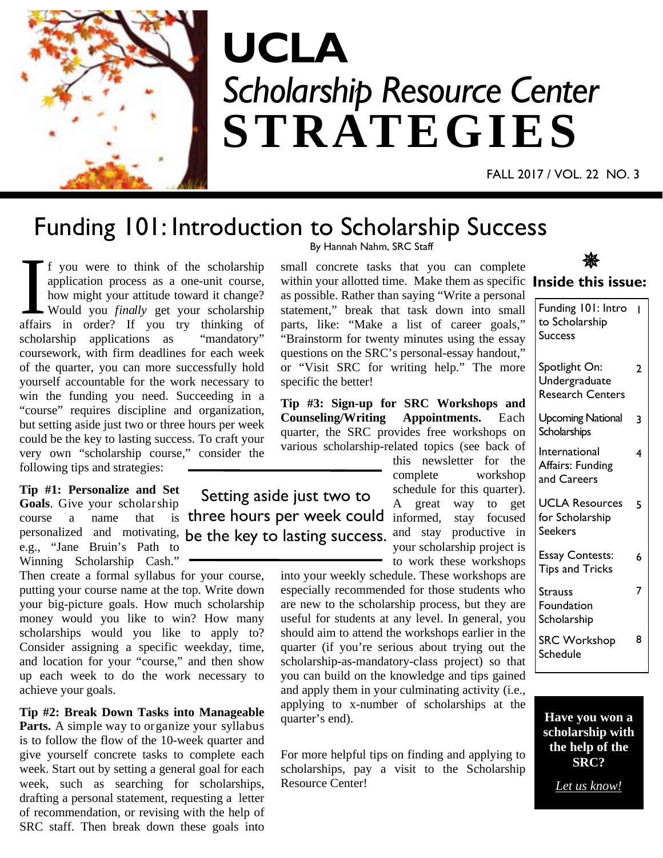

# *Scholarship Resource Center* **STRATEGIES UCLA**

FALL 2017 / VOL. 22 NO. 3

### Funding 101: Introduction to Scholarship Success

Setting aside just two to

I f you were to think of the scholarship application process as a one-unit course, how might your attitude toward it change?<br>Would you *finally* get your scholarship affairs in order? If you try thinking of application process as a one-unit course, how might your attitude toward it change? Would you *finally* get your scholarship affairs in order? If you try thinking of scholarship applications as "mandatory" coursework, with firm deadlines for each week of the quarter, you can more successfully hold yourself accountable for the work necessary to win the funding you need. Succeeding in a "course" requires discipline and organization, but setting aside just two or three hours per week could be the key to lasting success. To craft your very own "scholarship course," consider the following tips and strategies:

**Tip #1: Personalize and Set Goals**. Give your scholarship course a name that personalized and motivating, be the key to lasting success. e.g., "Jane Bruin's Path to Winning Scholarship Cash."

Then create a formal syllabus for your course, putting your course name at the top. Write down your big-picture goals. How much scholarship money would you like to win? How many scholarships would you like to apply to? Consider assigning a specific weekday, time, and location for your "course," and then show up each week to do the work necessary to achieve your goals.

**Tip #2: Break Down Tasks into Manageable Parts.** A simple way to organize your syllabus is to follow the flow of the 10-week quarter and give yourself concrete tasks to complete each week. Start out by setting a general goal for each week, such as searching for scholarships, drafting a personal statement, requesting a letter of recommendation, or revising with the help of SRC staff. Then break down these goals into

By Hannah Nahm, SRC Staff

small concrete tasks that you can complete within your allotted time. Make them as specific **Inside this issue:**  as possible. Rather than saying "Write a personal statement," break that task down into small parts, like: "Make a list of career goals," "Brainstorm for twenty minutes using the essay questions on the SRC's personal-essay handout," or "Visit SRC for writing help." The more specific the better!

**Tip #3: Sign-up for SRC Workshops and Counseling/Writing Appointments.** Each quarter, the SRC provides free workshops on various scholarship-related topics (see back of this newsletter for the

complete workshop schedule for this quarter). A great way to get three hours per week could informed, stay focused and stay productive in your scholarship project is to work these workshops

into your weekly schedule. These workshops are especially recommended for those students who are new to the scholarship process, but they are useful for students at any level. In general, you should aim to attend the workshops earlier in the quarter (if you're serious about trying out the scholarship-as-mandatory-class project) so that you can build on the knowledge and tips gained and apply them in your culminating activity (i.e., applying to x-number of scholarships at the quarter's end).

For more helpful tips on finding and applying to scholarships, pay a visit to the Scholarship Resource Center!

### \*

| Funding 101: Intro<br>to Scholarship<br><b>Success</b>    |   |
|-----------------------------------------------------------|---|
| Spotlight On:<br>Undergraduate<br><b>Research Centers</b> | 2 |
| <b>Upcoming National</b><br>Scholarships                  | 3 |
| International<br>Affairs: Funding<br>and Careers          | 4 |
| <b>UCLA Resources</b><br>for Scholarship<br>Seekers       | 5 |
| <b>Essay Contests:</b><br><b>Tips and Tricks</b>          | 6 |
| Strauss<br>Foundation<br>Scholarship                      | 7 |
| <b>SRC Workshop</b><br>Schedule                           | 8 |

**Have you won a scholarship with the help of the SRC?** 

*Let us know!*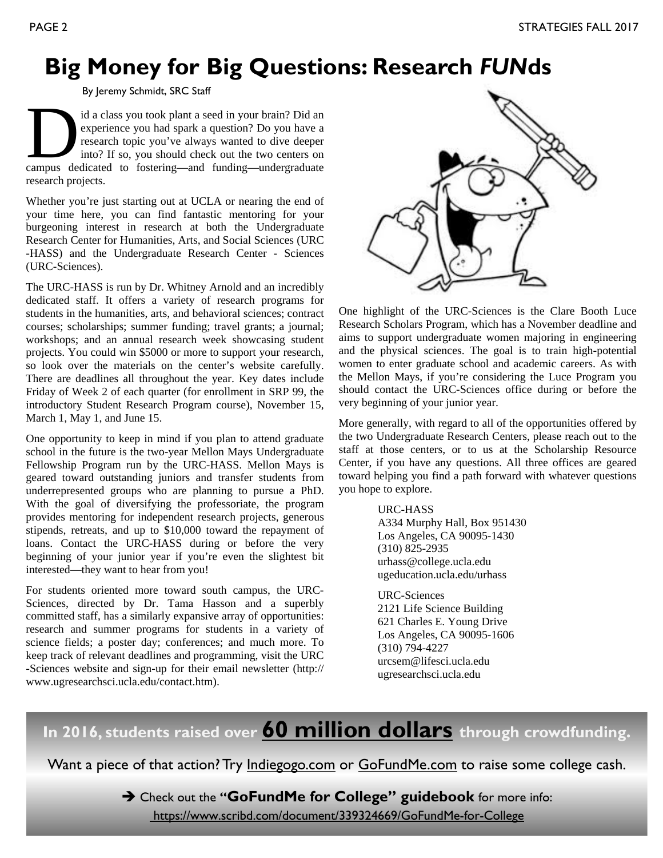### **Big Money for Big Questions: Research** *FUN***ds**

By Jeremy Schmidt, SRC Staff

id a class you took plant a seed in your brain? Did an experience you had spark a question? Do you have a research topic you've always wanted to dive deeper into? If so, you should check out the two centers on campus dedic experience you had spark a question? Do you have a research topic you've always wanted to dive deeper into? If so, you should check out the two centers on research projects.

Whether you're just starting out at UCLA or nearing the end of your time here, you can find fantastic mentoring for your burgeoning interest in research at both the Undergraduate Research Center for Humanities, Arts, and Social Sciences (URC -HASS) and the Undergraduate Research Center - Sciences (URC-Sciences).

The URC-HASS is run by Dr. Whitney Arnold and an incredibly dedicated staff. It offers a variety of research programs for students in the humanities, arts, and behavioral sciences; contract courses; scholarships; summer funding; travel grants; a journal; workshops; and an annual research week showcasing student projects. You could win \$5000 or more to support your research, so look over the materials on the center's website carefully. There are deadlines all throughout the year. Key dates include Friday of Week 2 of each quarter (for enrollment in SRP 99, the introductory Student Research Program course), November 15, March 1, May 1, and June 15.

One opportunity to keep in mind if you plan to attend graduate school in the future is the two-year Mellon Mays Undergraduate Fellowship Program run by the URC-HASS. Mellon Mays is geared toward outstanding juniors and transfer students from underrepresented groups who are planning to pursue a PhD. With the goal of diversifying the professoriate, the program provides mentoring for independent research projects, generous stipends, retreats, and up to \$10,000 toward the repayment of loans. Contact the URC-HASS during or before the very beginning of your junior year if you're even the slightest bit interested—they want to hear from you!

For students oriented more toward south campus, the URC-Sciences, directed by Dr. Tama Hasson and a superbly committed staff, has a similarly expansive array of opportunities: research and summer programs for students in a variety of science fields; a poster day; conferences; and much more. To keep track of relevant deadlines and programming, visit the URC -Sciences website and sign-up for their email newsletter (http:// www.ugresearchsci.ucla.edu/contact.htm).



One highlight of the URC-Sciences is the Clare Booth Luce Research Scholars Program, which has a November deadline and aims to support undergraduate women majoring in engineering and the physical sciences. The goal is to train high-potential women to enter graduate school and academic careers. As with the Mellon Mays, if you're considering the Luce Program you should contact the URC-Sciences office during or before the very beginning of your junior year.

More generally, with regard to all of the opportunities offered by the two Undergraduate Research Centers, please reach out to the staff at those centers, or to us at the Scholarship Resource Center, if you have any questions. All three offices are geared toward helping you find a path forward with whatever questions you hope to explore.

URC-HASS

 A334 Murphy Hall, Box 951430 Los Angeles, CA 90095-1430 (310) 825-2935 urhass@college.ucla.edu ugeducation.ucla.edu/urhass

 URC-Sciences 2121 Life Science Building 621 Charles E. Young Drive Los Angeles, CA 90095-1606 (310) 794-4227 urcsem@lifesci.ucla.edu ugresearchsci.ucla.edu

### **In 2016, students raised over 60 million dollars through crowdfunding.**

Want a piece of that action? Try Indiegogo.com or GoFundMe.com to raise some college cash.

Check out the **"GoFundMe for College" guidebook** for more info:

https://www.scribd.com/document/339324669/GoFundMe-for-College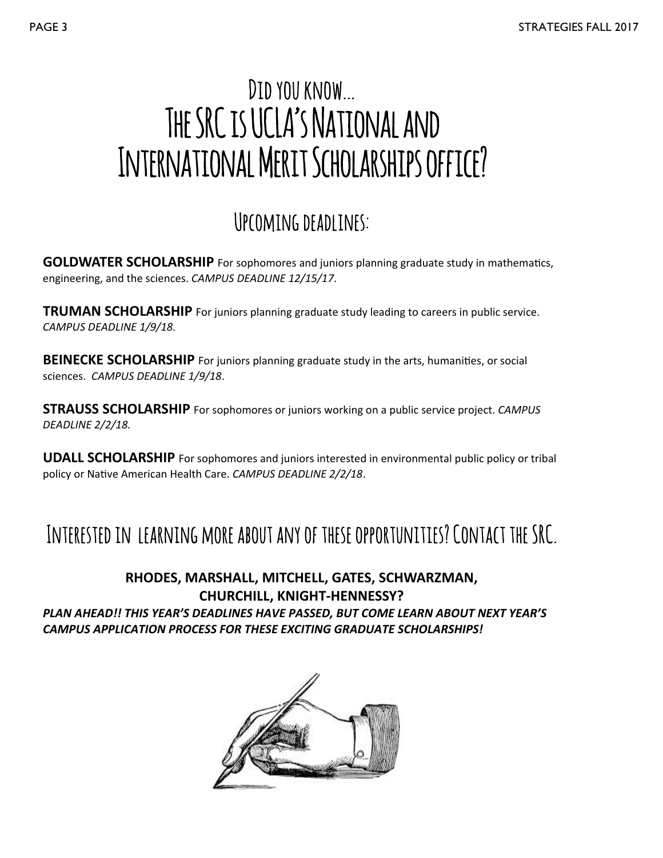## Did you know… THE SRC IS UCLA'S NATIONAL AND International Merit Scholarships office?

### Upcoming deadlines:

**GOLDWATER SCHOLARSHIP** For sophomores and juniors planning graduate study in mathematics, engineering, and the sciences. *CAMPUS DEADLINE 12/15/17*.

**TRUMAN SCHOLARSHIP** For juniors planning graduate study leading to careers in public service. *CAMPUS DEADLINE 1/9/18.* 

**BEINECKE SCHOLARSHIP** For juniors planning graduate study in the arts, humanities, or social sciences. *CAMPUS DEADLINE 1/9/18*.

**STRAUSS SCHOLARSHIP** For sophomores or juniors working on a public service project. *CAMPUS DEADLINE 2/2/18.* 

**UDALL SCHOLARSHIP** For sophomores and juniors interested in environmental public policy or tribal policy or Native American Health Care. *CAMPUS DEADLINE 2/2/18*.

### Interested in learning more about any of these opportunities? Contact the SRC.

### **RHODES, MARSHALL, MITCHELL, GATES, SCHWARZMAN, CHURCHILL, KNIGHT‐HENNESSY?**  *PLAN AHEAD!! THIS YEAR'S DEADLINES HAVE PASSED, BUT COME LEARN ABOUT NEXT YEAR'S CAMPUS APPLICATION PROCESS FOR THESE EXCITING GRADUATE SCHOLARSHIPS!*

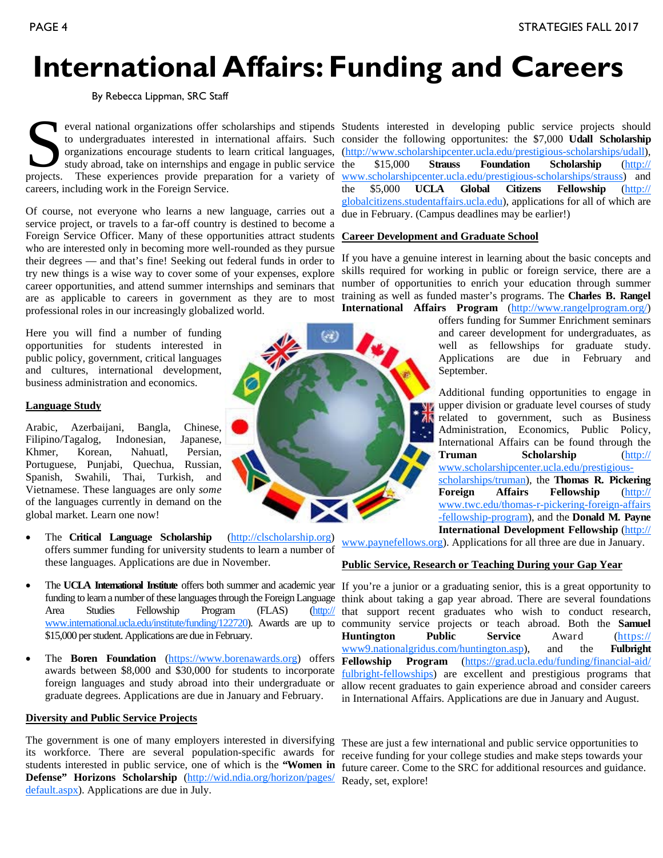## **International Affairs: Funding and Careers**

By Rebecca Lippman, SRC Staff

everal national organizations offer scholarships and stipends<br>to undergraduates interested in international affairs. Such<br>organizations encourage students to learn critical languages,<br>study abroad, take on internships and study abroad, take on internships and engage in public service projects. These experiences provide preparation for a variety of careers, including work in the Foreign Service.

Of course, not everyone who learns a new language, carries out a service project, or travels to a far-off country is destined to become a Foreign Service Officer. Many of these opportunities attract students who are interested only in becoming more well-rounded as they pursue their degrees — and that's fine! Seeking out federal funds in order to try new things is a wise way to cover some of your expenses, explore career opportunities, and attend summer internships and seminars that are as applicable to careers in government as they are to most professional roles in our increasingly globalized world.

Here you will find a number of funding opportunities for students interested in public policy, government, critical languages and cultures, international development, business administration and economics.

#### **Language Study**

Arabic, Azerbaijani, Bangla, Chinese, Filipino/Tagalog, Indonesian, Japanese, Khmer, Korean, Nahuatl, Persian, Portuguese, Punjabi, Quechua, Russian, Spanish, Swahili, Thai, Turkish, and Vietnamese. These languages are only *some*  of the languages currently in demand on the global market. Learn one now!

- The **Critical Language Scholarship** (http://clscholarship.org) offers summer funding for university students to learn a number of these languages. Applications are due in November.
- The UCLA International Institute offers both summer and academic year If you're a junior or a graduating senior, this is a great opportunity to funding to learn a number of these languages through the Foreign Language Area Studies Fellowship Program (FLAS) (http:// www.international.ucla.edu/institute/funding/122720). Awards are up to \$15,000 per student. Applications are due in February.
- The **Boren Foundation** (https://www.borenawards.org) offers awards between \$8,000 and \$30,000 for students to incorporate foreign languages and study abroad into their undergraduate or graduate degrees. Applications are due in January and February.

#### **Diversity and Public Service Projects**

The government is one of many employers interested in diversifying its workforce. There are several population-specific awards for students interested in public service, one of which is the **"Women in Defense" Horizons Scholarship** (http://wid.ndia.org/horizon/pages/ default.aspx). Applications are due in July.

to undergraduates interested in international affairs. Such consider the following opportunites: the \$7,000 **Udall Scholarship**  organizations encourage students to learn critical languages, (http://www.scholarshipcenter.ucla.edu/prestigious-scholarships/udall), Students interested in developing public service projects should the \$15,000 **Strauss Foundation Scholarship** (http:// www.scholarshipcenter.ucla.edu/prestigious-scholarships/strauss) and the \$5,000 **UCLA Global Citizens Fellowship** (http:// globalcitizens.studentaffairs.ucla.edu), applications for all of which are due in February. (Campus deadlines may be earlier!)

#### **Career Development and Graduate School**

If you have a genuine interest in learning about the basic concepts and skills required for working in public or foreign service, there are a number of opportunities to enrich your education through summer training as well as funded master's programs. The **Charles B. Rangel International Affairs Program** (http://www.rangelprogram.org/)

offers funding for Summer Enrichment seminars and career development for undergraduates, as well as fellowships for graduate study. Applications are due in February and September.

Additional funding opportunities to engage in upper division or graduate level courses of study related to government, such as Business Administration, Economics, Public Policy, International Affairs can be found through the **Truman Scholarship** (http:// www.scholarshipcenter.ucla.edu/prestigiousscholarships/truman), the **Thomas R. Pickering Foreign Affairs Fellowship** (http:// www.twc.edu/thomas-r-pickering-foreign-affairs -fellowship-program), and the **Donald M. Payne International Development Fellowship** (http://

www.paynefellows.org). Applications for all three are due in January.

#### **Public Service, Research or Teaching During your Gap Year**

think about taking a gap year abroad. There are several foundations that support recent graduates who wish to conduct research, community service projects or teach abroad. Both the **Samuel Huntington Public Service** Award (https:// www9.nationalgridus.com/huntington.asp), and the **Fulbright Fellowship Program** (https://grad.ucla.edu/funding/financial-aid/ fulbright-fellowships) are excellent and prestigious programs that allow recent graduates to gain experience abroad and consider careers in International Affairs. Applications are due in January and August.

These are just a few international and public service opportunities to receive funding for your college studies and make steps towards your future career. Come to the SRC for additional resources and guidance. Ready, set, explore!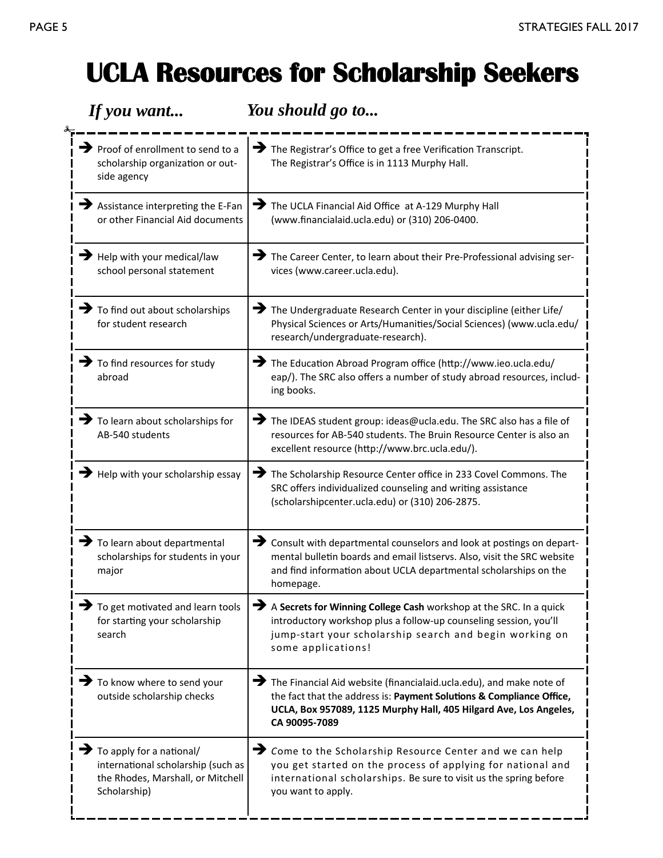### **UCLA Resources for Scholarship Seekers**

| If you want                                                                                                                               | You should go to                                                                                                                                                                                                                                |
|-------------------------------------------------------------------------------------------------------------------------------------------|-------------------------------------------------------------------------------------------------------------------------------------------------------------------------------------------------------------------------------------------------|
| $\rightarrow$ Proof of enrollment to send to a<br>scholarship organization or out-<br>side agency                                         | The Registrar's Office to get a free Verification Transcript.<br>The Registrar's Office is in 1113 Murphy Hall.                                                                                                                                 |
| $\blacktriangleright$ Assistance interpreting the E-Fan<br>or other Financial Aid documents                                               | →<br>The UCLA Financial Aid Office at A-129 Murphy Hall<br>(www.financialaid.ucla.edu) or (310) 206-0400.                                                                                                                                       |
| $\rightarrow$ Help with your medical/law<br>school personal statement                                                                     | The Career Center, to learn about their Pre-Professional advising ser-<br>vices (www.career.ucla.edu).                                                                                                                                          |
| $\blacktriangleright$ To find out about scholarships<br>for student research                                                              | $\rightarrow$ The Undergraduate Research Center in your discipline (either Life/<br>Physical Sciences or Arts/Humanities/Social Sciences) (www.ucla.edu/<br>research/undergraduate-research).                                                   |
| $\blacktriangleright$ To find resources for study<br>abroad                                                                               | The Education Abroad Program office (http://www.ieo.ucla.edu/<br>eap/). The SRC also offers a number of study abroad resources, includ-<br>ing books.                                                                                           |
| $\blacktriangleright$ To learn about scholarships for<br>AB-540 students                                                                  | The IDEAS student group: ideas@ucla.edu. The SRC also has a file of<br>resources for AB-540 students. The Bruin Resource Center is also an<br>excellent resource (http://www.brc.ucla.edu/).                                                    |
| $\rightarrow$ Help with your scholarship essay                                                                                            | The Scholarship Resource Center office in 233 Covel Commons. The<br>SRC offers individualized counseling and writing assistance<br>(scholarshipcenter.ucla.edu) or (310) 206-2875.                                                              |
| $\rightarrow$ To learn about departmental<br>scholarships for students in your<br>major                                                   | $\rightarrow$ Consult with departmental counselors and look at postings on depart-<br>mental bulletin boards and email listservs. Also, visit the SRC website<br>and find information about UCLA departmental scholarships on the<br>homepage.  |
| $\blacktriangleright$ To get motivated and learn tools<br>for starting your scholarship<br>search                                         | →<br>A Secrets for Winning College Cash workshop at the SRC. In a quick<br>introductory workshop plus a follow-up counseling session, you'll<br>jump-start your scholarship search and begin working on<br>some applications!                   |
| To know where to send your<br>outside scholarship checks                                                                                  | $\rightarrow$ The Financial Aid website (financialaid.ucla.edu), and make note of<br>the fact that the address is: Payment Solutions & Compliance Office,<br>UCLA, Box 957089, 1125 Murphy Hall, 405 Hilgard Ave, Los Angeles,<br>CA 90095-7089 |
| $\blacktriangleright$ To apply for a national/<br>international scholarship (such as<br>the Rhodes, Marshall, or Mitchell<br>Scholarship) | → Come to the Scholarship Resource Center and we can help<br>you get started on the process of applying for national and<br>international scholarships. Be sure to visit us the spring before<br>you want to apply.                             |
|                                                                                                                                           |                                                                                                                                                                                                                                                 |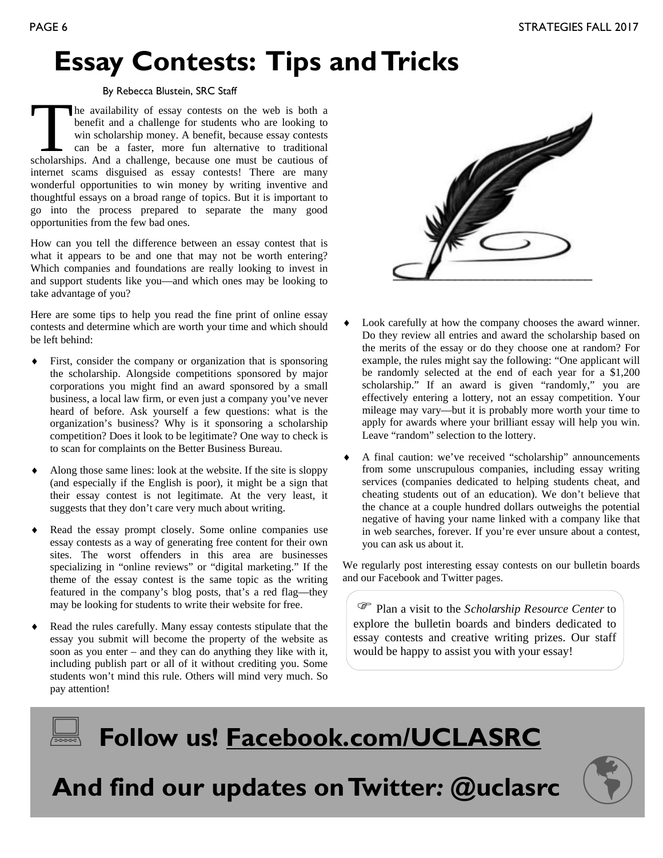### **Essay Contests: Tips and Tricks**

#### By Rebecca Blustein, SRC Staff

The availability of essay contests on the web is both a benefit and a challenge for students who are looking to win scholarship money. A benefit, because essay contests can be a faster, more fun alternative to traditional benefit and a challenge for students who are looking to win scholarship money. A benefit, because essay contests can be a faster, more fun alternative to traditional internet scams disguised as essay contests! There are many wonderful opportunities to win money by writing inventive and thoughtful essays on a broad range of topics. But it is important to go into the process prepared to separate the many good opportunities from the few bad ones.

How can you tell the difference between an essay contest that is what it appears to be and one that may not be worth entering? Which companies and foundations are really looking to invest in and support students like you—and which ones may be looking to take advantage of you?

Here are some tips to help you read the fine print of online essay contests and determine which are worth your time and which should be left behind:

- First, consider the company or organization that is sponsoring the scholarship. Alongside competitions sponsored by major corporations you might find an award sponsored by a small business, a local law firm, or even just a company you've never heard of before. Ask yourself a few questions: what is the organization's business? Why is it sponsoring a scholarship competition? Does it look to be legitimate? One way to check is to scan for complaints on the Better Business Bureau.
- Along those same lines: look at the website. If the site is sloppy (and especially if the English is poor), it might be a sign that their essay contest is not legitimate. At the very least, it suggests that they don't care very much about writing.
- Read the essay prompt closely. Some online companies use essay contests as a way of generating free content for their own sites. The worst offenders in this area are businesses specializing in "online reviews" or "digital marketing." If the theme of the essay contest is the same topic as the writing featured in the company's blog posts, that's a red flag—they may be looking for students to write their website for free.
- Read the rules carefully. Many essay contests stipulate that the essay you submit will become the property of the website as soon as you enter – and they can do anything they like with it, including publish part or all of it without crediting you. Some students won't mind this rule. Others will mind very much. So pay attention!



- Look carefully at how the company chooses the award winner. Do they review all entries and award the scholarship based on the merits of the essay or do they choose one at random? For example, the rules might say the following: "One applicant will be randomly selected at the end of each year for a \$1,200 scholarship." If an award is given "randomly," you are effectively entering a lottery, not an essay competition. Your mileage may vary—but it is probably more worth your time to apply for awards where your brilliant essay will help you win. Leave "random" selection to the lottery.
- A final caution: we've received "scholarship" announcements from some unscrupulous companies, including essay writing services (companies dedicated to helping students cheat, and cheating students out of an education). We don't believe that the chance at a couple hundred dollars outweighs the potential negative of having your name linked with a company like that in web searches, forever. If you're ever unsure about a contest, you can ask us about it.

We regularly post interesting essay contests on our bulletin boards and our Facebook and Twitter pages.

 Plan a visit to the *Scholarship Resource Center* to explore the bulletin boards and binders dedicated to essay contests and creative writing prizes. Our staff would be happy to assist you with your essay!

### **Follow us! Facebook.com/UCLASRC**

 **And find our updates on Twitter***:* **@uclasrc** 

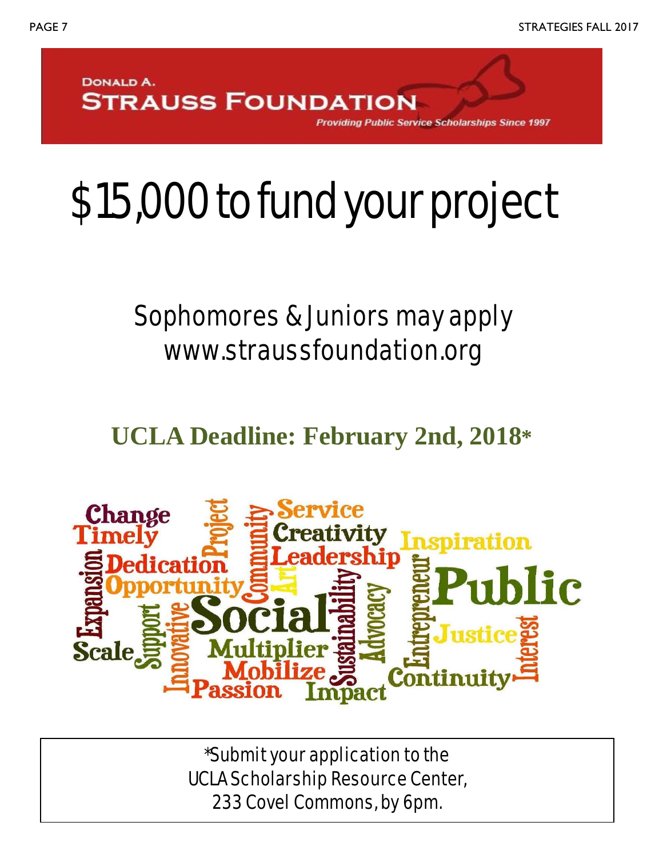

**Public Service Scholarships Since 1997** 

# \$15,000 to fund your project

## Sophomores & Juniors may apply www.straussfoundation.org

**UCLA Deadline: February 2nd, 2018\***



\*Submit your application to the UCLA Scholarship Resource Center, 233 Covel Commons, by 6pm.